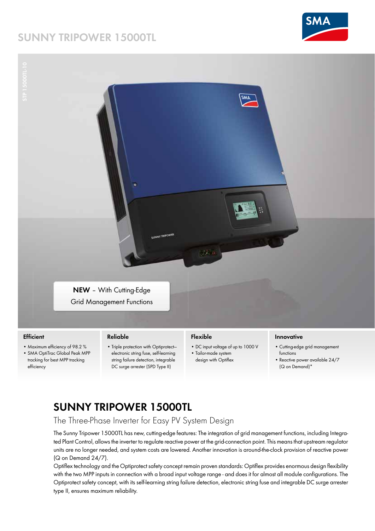# **SUNNY TRIPOWER 15000TL**



# **NEW** – With Cutting-Edge Grid Management Functions

## **Efficient**

- Maximum efficiency of 98.2 %
- SMA OptiTrac Global Peak MPP tracking for best MPP tracking efficiency

#### **Reliable**

• Triple protection with Optiprotect electronic string fuse, self-learning string failure detection, integrable DC surge arrester (SPD Type II)

## **Flexible**

- DC input voltage of up to 1000 V
- Tailor-made system design with Optiflex

#### **Innovative**

- Cutting-edge grid management functions
- Reactive power available 24/7 (Q on Demand)\*

# **SUNNY TRIPOWER 15000TL**

# The Three-Phase Inverter for Easy PV System Design

The Sunny Tripower 15000TL has new, cutting-edge features: The integration of grid management functions, including Integrated Plant Control, allows the inverter to regulate reactive power at the grid-connection point. This means that upstream regulator units are no longer needed, and system costs are lowered. Another innovation is around-the-clock provision of reactive power (Q on Demand 24/7).

Optiflex technology and the Optiprotect safety concept remain proven standards: Optiflex provides enormous design flexibility with the two MPP inputs in connection with a broad input voltage range - and does it for almost all module configurations. The Optiprotect safety concept, with its self-learning string failure detection, electronic string fuse and integrable DC surge arrester type II, ensures maximum reliability.